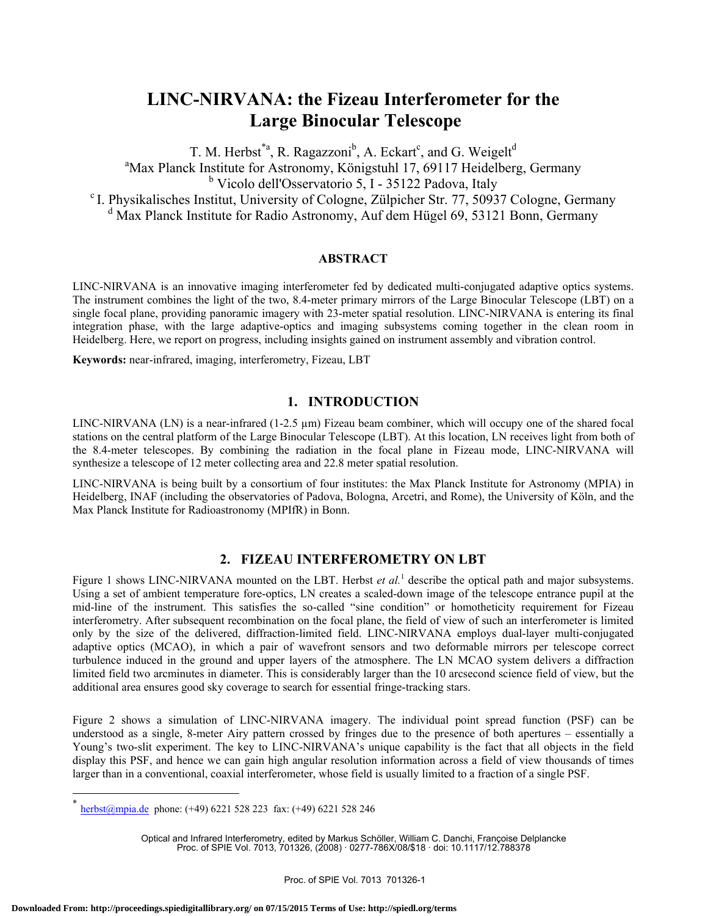# **LINC-NIRVANA: the Fizeau Interferometer for the Large Binocular Telescope**

T. M. Herbst<sup>\*a</sup>, R. Ragazzoni<sup>b</sup>, A. Eckart<sup>c</sup>, and G. Weigelt<sup>d</sup> <sup>a</sup>Max Planck Institute for Astronomy, Königstuhl 17, 69117 Heidelberg, Germany <sup>b</sup> Vicolo dell'Osservatorio 5, I - 35122 Padova, Italy <sup>c</sup> I. Physikalisches Institut, University of Cologne, Zülpicher Str. 77, 50937 Cologne, Germany <sup>d</sup> Max Planck Institute for Radio Astronomy, Auf dem Hügel 69, 53121 Bonn, Germany

#### **ABSTRACT**

LINC-NIRVANA is an innovative imaging interferometer fed by dedicated multi-conjugated adaptive optics systems. The instrument combines the light of the two, 8.4-meter primary mirrors of the Large Binocular Telescope (LBT) on a single focal plane, providing panoramic imagery with 23-meter spatial resolution. LINC-NIRVANA is entering its final integration phase, with the large adaptive-optics and imaging subsystems coming together in the clean room in Heidelberg. Here, we report on progress, including insights gained on instrument assembly and vibration control.

**Keywords:** near-infrared, imaging, interferometry, Fizeau, LBT

# **1. INTRODUCTION**

LINC-NIRVANA (LN) is a near-infrared  $(1-2.5 \mu m)$  Fizeau beam combiner, which will occupy one of the shared focal stations on the central platform of the Large Binocular Telescope (LBT). At this location, LN receives light from both of the 8.4-meter telescopes. By combining the radiation in the focal plane in Fizeau mode, LINC-NIRVANA will synthesize a telescope of 12 meter collecting area and 22.8 meter spatial resolution.

LINC-NIRVANA is being built by a consortium of four institutes: the Max Planck Institute for Astronomy (MPIA) in Heidelberg, INAF (including the observatories of Padova, Bologna, Arcetri, and Rome), the University of Köln, and the Max Planck Institute for Radioastronomy (MPIfR) in Bonn.

#### **2. FIZEAU INTERFEROMETRY ON LBT**

Figure 1 shows LINC-NIRVANA mounted on the LBT. Herbst *et al.*<sup>1</sup> describe the optical path and major subsystems. Using a set of ambient temperature fore-optics, LN creates a scaled-down image of the telescope entrance pupil at the mid-line of the instrument. This satisfies the so-called "sine condition" or homotheticity requirement for Fizeau interferometry. After subsequent recombination on the focal plane, the field of view of such an interferometer is limited only by the size of the delivered, diffraction-limited field. LINC-NIRVANA employs dual-layer multi-conjugated adaptive optics (MCAO), in which a pair of wavefront sensors and two deformable mirrors per telescope correct turbulence induced in the ground and upper layers of the atmosphere. The LN MCAO system delivers a diffraction limited field two arcminutes in diameter. This is considerably larger than the 10 arcsecond science field of view, but the additional area ensures good sky coverage to search for essential fringe-tracking stars.

Figure 2 shows a simulation of LINC-NIRVANA imagery. The individual point spread function (PSF) can be understood as a single, 8-meter Airy pattern crossed by fringes due to the presence of both apertures – essentially a Young's two-slit experiment. The key to LINC-NIRVANA's unique capability is the fact that all objects in the field display this PSF, and hence we can gain high angular resolution information across a field of view thousands of times larger than in a conventional, coaxial interferometer, whose field is usually limited to a fraction of a single PSF.

 $\overline{a}$ 

Optical and Infrared Interferometry, edited by Markus Schöller, William C. Danchi, Françoise Delplancke Proc. of SPIE Vol. 7013, 701326, (2008) · 0277-786X/08/\$18 · doi: 10.1117/12.788378

herbst@mpia.de phone: (+49) 6221 528 223 fax: (+49) 6221 528 246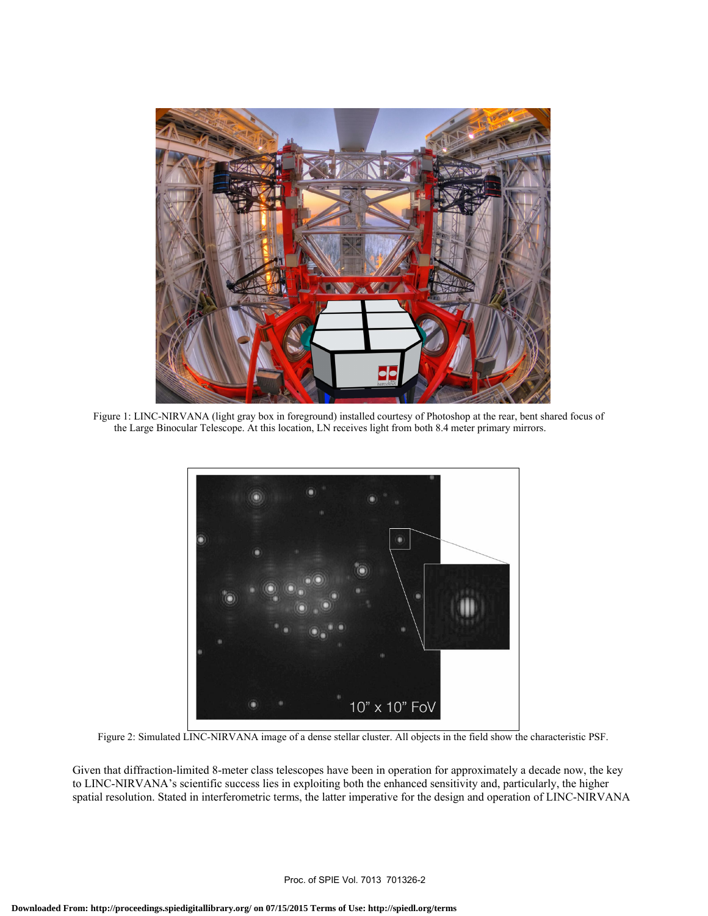

Figure 1: LINC-NIRVANA (light gray box in foreground) installed courtesy of Photoshop at the rear, bent shared focus of the Large Binocular Telescope. At this location, LN receives light from both 8.4 meter primary mirrors.



Figure 2: Simulated LINC-NIRVANA image of a dense stellar cluster. All objects in the field show the characteristic PSF.

Given that diffraction-limited 8-meter class telescopes have been in operation for approximately a decade now, the key to LINC-NIRVANA's scientific success lies in exploiting both the enhanced sensitivity and, particularly, the higher spatial resolution. Stated in interferometric terms, the latter imperative for the design and operation of LINC-NIRVANA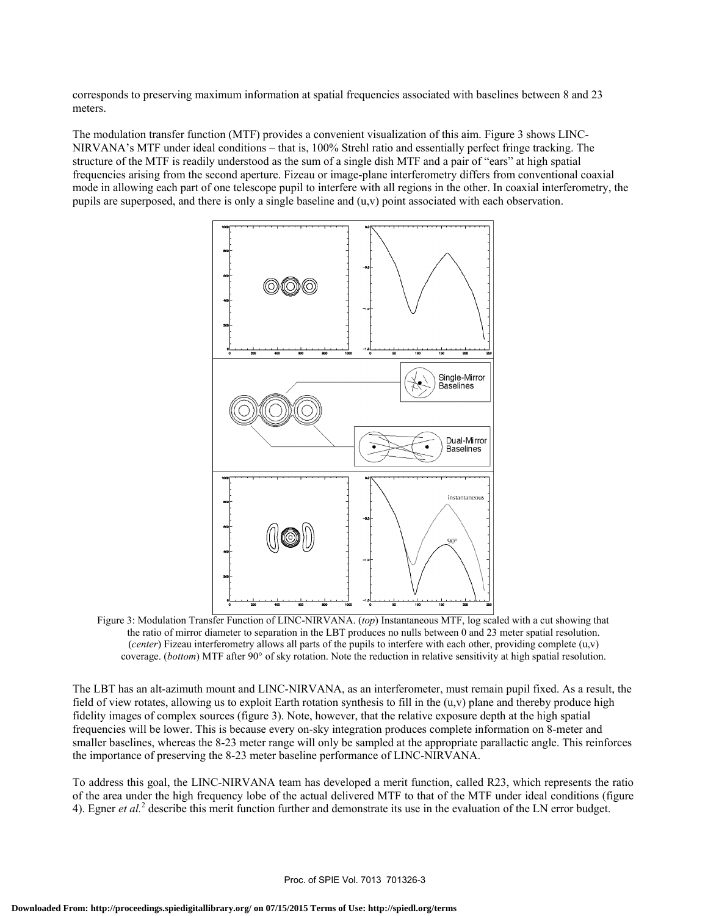corresponds to preserving maximum information at spatial frequencies associated with baselines between 8 and 23 meters.

The modulation transfer function (MTF) provides a convenient visualization of this aim. Figure 3 shows LINC-NIRVANA's MTF under ideal conditions – that is, 100% Strehl ratio and essentially perfect fringe tracking. The structure of the MTF is readily understood as the sum of a single dish MTF and a pair of "ears" at high spatial frequencies arising from the second aperture. Fizeau or image-plane interferometry differs from conventional coaxial mode in allowing each part of one telescope pupil to interfere with all regions in the other. In coaxial interferometry, the pupils are superposed, and there is only a single baseline and  $(u, v)$  point associated with each observation.



Figure 3: Modulation Transfer Function of LINC-NIRVANA. (*top*) Instantaneous MTF, log scaled with a cut showing that the ratio of mirror diameter to separation in the LBT produces no nulls between 0 and 23 meter spatial resolution. (*center*) Fizeau interferometry allows all parts of the pupils to interfere with each other, providing complete (u,v) coverage. (*bottom*) MTF after 90° of sky rotation. Note the reduction in relative sensitivity at high spatial resolution.

The LBT has an alt-azimuth mount and LINC-NIRVANA, as an interferometer, must remain pupil fixed. As a result, the field of view rotates, allowing us to exploit Earth rotation synthesis to fill in the  $(u, v)$  plane and thereby produce high fidelity images of complex sources (figure 3). Note, however, that the relative exposure depth at the high spatial frequencies will be lower. This is because every on-sky integration produces complete information on 8-meter and smaller baselines, whereas the 8-23 meter range will only be sampled at the appropriate parallactic angle. This reinforces the importance of preserving the 8-23 meter baseline performance of LINC-NIRVANA.

To address this goal, the LINC-NIRVANA team has developed a merit function, called R23, which represents the ratio of the area under the high frequency lobe of the actual delivered MTF to that of the MTF under ideal conditions (figure 4). Egner *et al.*<sup>2</sup> describe this merit function further and demonstrate its use in the evaluation of the LN error budget.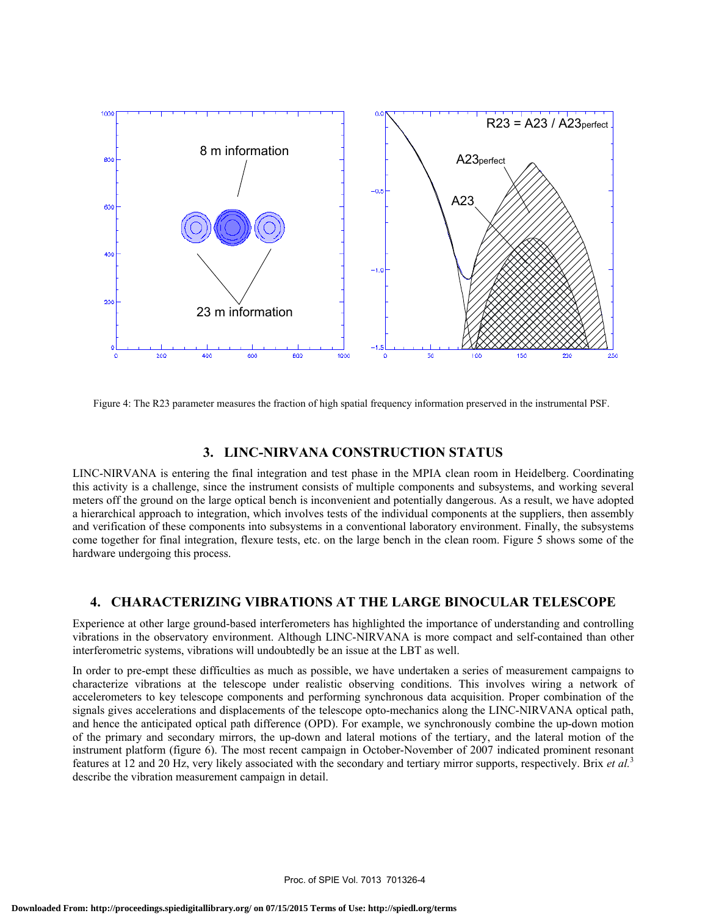

Figure 4: The R23 parameter measures the fraction of high spatial frequency information preserved in the instrumental PSF.

# **3. LINC-NIRVANA CONSTRUCTION STATUS**

LINC-NIRVANA is entering the final integration and test phase in the MPIA clean room in Heidelberg. Coordinating this activity is a challenge, since the instrument consists of multiple components and subsystems, and working several meters off the ground on the large optical bench is inconvenient and potentially dangerous. As a result, we have adopted a hierarchical approach to integration, which involves tests of the individual components at the suppliers, then assembly and verification of these components into subsystems in a conventional laboratory environment. Finally, the subsystems come together for final integration, flexure tests, etc. on the large bench in the clean room. Figure 5 shows some of the hardware undergoing this process.

### **4. CHARACTERIZING VIBRATIONS AT THE LARGE BINOCULAR TELESCOPE**

Experience at other large ground-based interferometers has highlighted the importance of understanding and controlling vibrations in the observatory environment. Although LINC-NIRVANA is more compact and self-contained than other interferometric systems, vibrations will undoubtedly be an issue at the LBT as well.

In order to pre-empt these difficulties as much as possible, we have undertaken a series of measurement campaigns to characterize vibrations at the telescope under realistic observing conditions. This involves wiring a network of accelerometers to key telescope components and performing synchronous data acquisition. Proper combination of the signals gives accelerations and displacements of the telescope opto-mechanics along the LINC-NIRVANA optical path, and hence the anticipated optical path difference (OPD). For example, we synchronously combine the up-down motion of the primary and secondary mirrors, the up-down and lateral motions of the tertiary, and the lateral motion of the instrument platform (figure 6). The most recent campaign in October-November of 2007 indicated prominent resonant features at 12 and 20 Hz, very likely associated with the secondary and tertiary mirror supports, respectively. Brix *et al.*<sup>3</sup> describe the vibration measurement campaign in detail.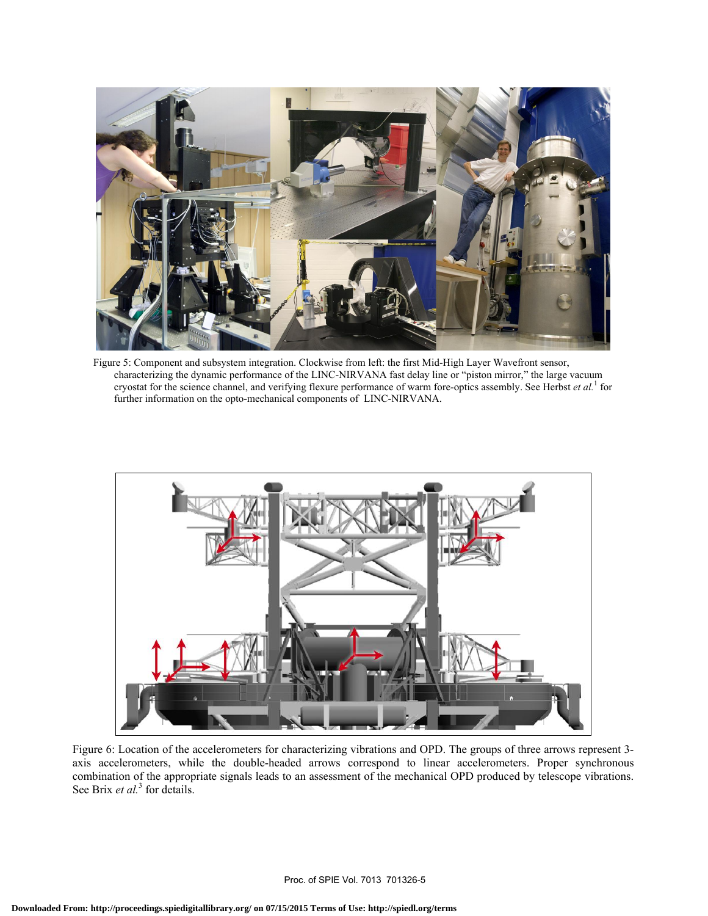

Figure 5: Component and subsystem integration. Clockwise from left: the first Mid-High Layer Wavefront sensor, characterizing the dynamic performance of the LINC-NIRVANA fast delay line or "piston mirror," the large vacuum cryostat for the science channel, and verifying flexure performance of warm fore-optics assembly. See Herbst *et al.*<sup>1</sup> for further information on the opto-mechanical components of LINC-NIRVANA.



Figure 6: Location of the accelerometers for characterizing vibrations and OPD. The groups of three arrows represent 3 axis accelerometers, while the double-headed arrows correspond to linear accelerometers. Proper synchronous combination of the appropriate signals leads to an assessment of the mechanical OPD produced by telescope vibrations. See Brix *et al.*<sup>3</sup> for details.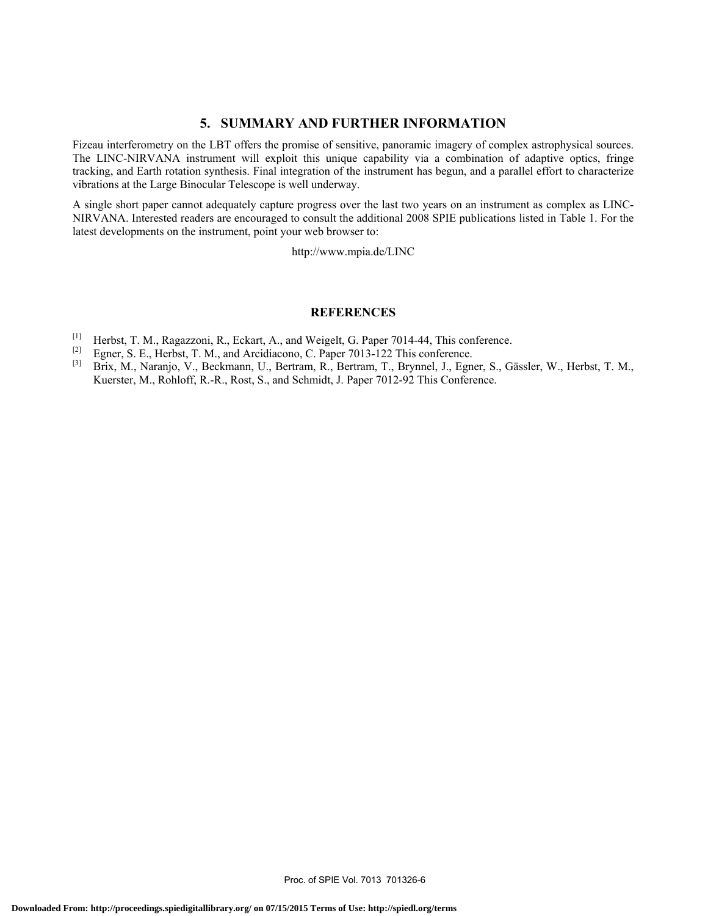# **5. SUMMARY AND FURTHER INFORMATION**

Fizeau interferometry on the LBT offers the promise of sensitive, panoramic imagery of complex astrophysical sources. The LINC-NIRVANA instrument will exploit this unique capability via a combination of adaptive optics, fringe tracking, and Earth rotation synthesis. Final integration of the instrument has begun, and a parallel effort to characterize vibrations at the Large Binocular Telescope is well underway.

A single short paper cannot adequately capture progress over the last two years on an instrument as complex as LINC-NIRVANA. Interested readers are encouraged to consult the additional 2008 SPIE publications listed in Table 1. For the latest developments on the instrument, point your web browser to:

http://www.mpia.de/LINC

#### **REFERENCES**

- [1] Herbst, T. M., Ragazzoni, R., Eckart, A., and Weigelt, G. Paper 7014-44, This conference.
- [2] Egner, S. E., Herbst, T. M., and Arcidiacono, C. Paper 7013-122 This conference.<br>
[3] Brix M. Naranio, V. Beckmann, J.J. Bertram, R. Bertram, T. Brynnel, J. Egne
- [3] Brix, M., Naranjo, V., Beckmann, U., Bertram, R., Bertram, T., Brynnel, J., Egner, S., Gässler, W., Herbst, T. M., Kuerster, M., Rohloff, R.-R., Rost, S., and Schmidt, J. Paper 7012-92 This Conference.